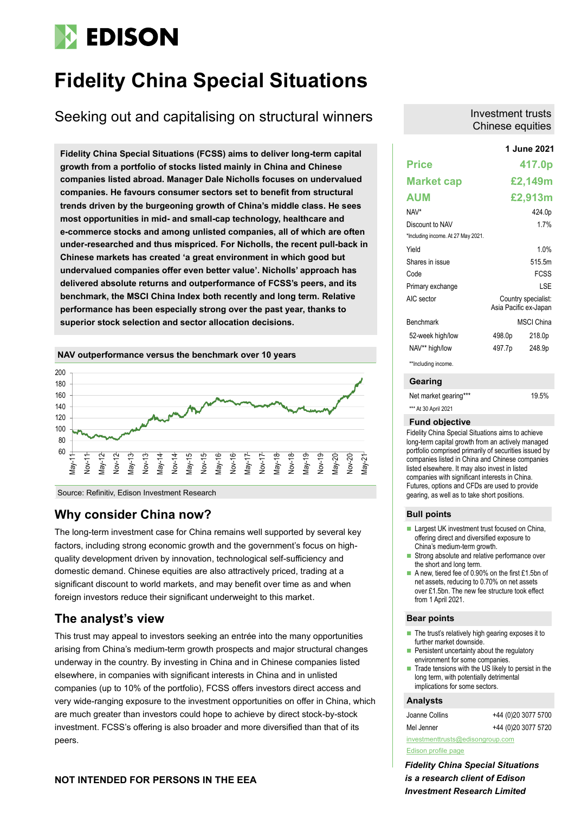# **EDISON**

## **Fidelity China Special Situations**

Seeking out and capitalising on structural winners

**Fidelity China Special Situations (FCSS) aims to deliver long-term capital growth from a portfolio of stocks listed mainly in China and Chinese companies listed abroad. Manager Dale Nicholls focuses on undervalued companies. He favours consumer sectors set to benefit from structural trends driven by the burgeoning growth of China's middle class. He sees most opportunities in mid- and small-cap technology, healthcare and e-commerce stocks and among unlisted companies, all of which are often under-researched and thus mispriced. For Nicholls, the recent pull-back in Chinese markets has created 'a great environment in which good but undervalued companies offer even better value'. Nicholls' approach has delivered absolute returns and outperformance of FCSS's peers, and its benchmark, the MSCI China Index both recently and long term. Relative performance has been especially strong over the past year, thanks to superior stock selection and sector allocation decisions.**

### **NAV outperformance versus the benchmark over 10 years**



Source: Refinitiv, Edison Investment Research

### **Why consider China now?**

The long-term investment case for China remains well supported by several key factors, including strong economic growth and the government's focus on highquality development driven by innovation, technological self-sufficiency and domestic demand. Chinese equities are also attractively priced, trading at a significant discount to world markets, and may benefit over time as and when foreign investors reduce their significant underweight to this market.

### **The analyst's view**

This trust may appeal to investors seeking an entrée into the many opportunities arising from China's medium-term growth prospects and major structural changes underway in the country. By investing in China and in Chinese companies listed elsewhere, in companies with significant interests in China and in unlisted companies (up to 10% of the portfolio), FCSS offers investors direct access and very wide-ranging exposure to the investment opportunities on offer in China, which are much greater than investors could hope to achieve by direct stock-by-stock investment. FCSS's offering is also broader and more diversified than that of its peers.

### **NOT INTENDED FOR PERSONS IN THE EEA**

### Investment trusts Chinese equities

|                                    |        | 1 June 2021                                  |
|------------------------------------|--------|----------------------------------------------|
| <b>Price</b>                       |        | 417.0p                                       |
| <b>Market cap</b>                  |        | £2,149m                                      |
| AUM                                |        | £2,913m                                      |
| NAV*                               |        | 424.0p                                       |
| Discount to NAV                    |        | 17%                                          |
| *Including income. At 27 May 2021. |        |                                              |
| Yield                              |        | 1.0%                                         |
| Shares in issue                    |        | 515.5m                                       |
| Code                               |        | <b>FCSS</b>                                  |
| Primary exchange                   |        | I SF                                         |
| AIC sector                         |        | Country specialist:<br>Asia Pacific ex-Japan |
| <b>Benchmark</b>                   |        | <b>MSCI China</b>                            |
| 52-week high/low                   | 498.0p | 218.0p                                       |
| NAV** high/low                     | 497.7p | 248.9p                                       |
| **Including income.                |        |                                              |

### **Gearing**

| Net market gearing*** | 19.5% |
|-----------------------|-------|
| *** At 30 April 2021  |       |

#### **Fund objective**

Fidelity China Special Situations aims to achieve long-term capital growth from an actively managed portfolio comprised primarily of securities issued by companies listed in China and Chinese companies listed elsewhere. It may also invest in listed companies with significant interests in China. Futures, options and CFDs are used to provide gearing, as well as to take short positions.

### **Bull points**

- Largest UK investment trust focused on China. offering direct and diversified exposure to China's medium-term growth.
- Strong absolute and relative performance over the short and long term.
- A new, tiered fee of 0.90% on the first £1.5bn of net assets, reducing to 0.70% on net assets over £1.5bn. The new fee structure took effect from 1 April 2021

### **Bear points**

- The trust's relatively high gearing exposes it to further market downside.
- Persistent uncertainty about the regulatory environment for some companies.
- Trade tensions with the US likely to persist in the long term, with potentially detrimental implications for some sectors.

### **Analysts**

| Joanne Collins                   | +44 (0)20 3077 5700 |  |  |  |  |  |  |
|----------------------------------|---------------------|--|--|--|--|--|--|
| Mel Jenner                       | +44 (0)20 3077 5720 |  |  |  |  |  |  |
| investmenttrusts@edisongroup.com |                     |  |  |  |  |  |  |

### [Edison profile page](https://www.edisongroup.com/company/fidelity-china-special-situations/1994/)

*Fidelity China Special Situations is a research client of Edison Investment Research Limited*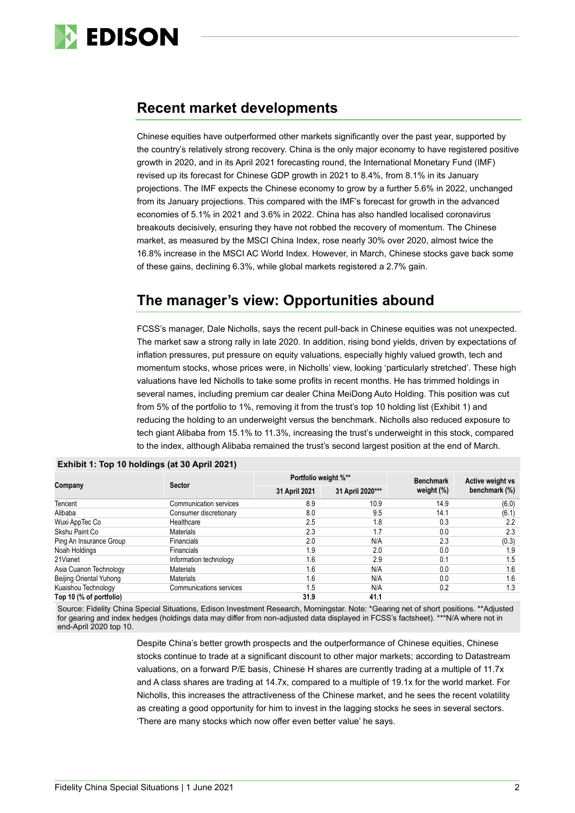

### **Recent market developments**

Chinese equities have outperformed other markets significantly over the past year, supported by the country's relatively strong recovery. China is the only major economy to have registered positive growth in 2020, and in its April 2021 forecasting round, the International Monetary Fund (IMF) revised up its forecast for Chinese GDP growth in 2021 to 8.4%, from 8.1% in its January projections. The IMF expects the Chinese economy to grow by a further 5.6% in 2022, unchanged from its January projections. This compared with the IMF's forecast for growth in the advanced economies of 5.1% in 2021 and 3.6% in 2022. China has also handled localised coronavirus breakouts decisively, ensuring they have not robbed the recovery of momentum. The Chinese market, as measured by the MSCI China Index, rose nearly 30% over 2020, almost twice the 16.8% increase in the MSCI AC World Index. However, in March, Chinese stocks gave back some of these gains, declining 6.3%, while global markets registered a 2.7% gain.

### **The manager's view: Opportunities abound**

FCSS's manager, Dale Nicholls, says the recent pull-back in Chinese equities was not unexpected. The market saw a strong rally in late 2020. In addition, rising bond yields, driven by expectations of inflation pressures, put pressure on equity valuations, especially highly valued growth, tech and momentum stocks, whose prices were, in Nicholls' view, looking 'particularly stretched'. These high valuations have led Nicholls to take some profits in recent months. He has trimmed holdings in several names, including premium car dealer China MeiDong Auto Holding. This position was cut from 5% of the portfolio to 1%, removing it from the trust's top 10 holding list (Exhibit 1) and reducing the holding to an underweight versus the benchmark. Nicholls also reduced exposure to tech giant Alibaba from 15.1% to 11.3%, increasing the trust's underweight in this stock, compared to the index, although Alibaba remained the trust's second largest position at the end of March.

| Company                 |                               | Portfolio weight %** |                  | <b>Benchmark</b> | Active weight vs<br>benchmark (%) |  |
|-------------------------|-------------------------------|----------------------|------------------|------------------|-----------------------------------|--|
|                         | <b>Sector</b>                 | 31 April 2021        | 31 April 2020*** | weight $(\%)$    |                                   |  |
| Tencent                 | <b>Communication services</b> | 8.9                  | 10.9             | 14.9             | (6.0)                             |  |
| Alibaba                 | Consumer discretionary        | 8.0                  | 9.5              | 14.1             | (6.1)                             |  |
| Wuxi AppTec Co          | Healthcare                    | 2.5                  | 1.8              | 0.3              | 2.2                               |  |
| Skshu Paint Co          | <b>Materials</b>              | 2.3                  | 1.7              | 0.0              | 2.3                               |  |
| Ping An Insurance Group | <b>Financials</b>             | 2.0                  | N/A              | 2.3              | (0.3)                             |  |
| Noah Holdings           | <b>Financials</b>             | 1.9                  | 2.0              | 0.0              | 1.9                               |  |
| 21Vianet                | Information technology        | 1.6                  | 2.9              | 0.1              | 1.5                               |  |
| Asia Cuanon Technology  | Materials                     | 1.6                  | N/A              | 0.0              | 1.6                               |  |
| Beijing Oriental Yuhong | <b>Materials</b>              | 1.6                  | N/A              | 0.0              | 1.6                               |  |
| Kuaishou Technology     | Communications services       | 1.5                  | N/A              | 0.2              | 1.3                               |  |
| Top 10 (% of portfolio) |                               | 31.9                 | 41.1             |                  |                                   |  |

### **Exhibit 1: Top 10 holdings (at 30 April 2021)**

Source: Fidelity China Special Situations, Edison Investment Research, Morningstar. Note: \*Gearing net of short positions. \*\*Adjusted for gearing and index hedges (holdings data may differ from non-adjusted data displayed in FCSS's factsheet). \*\*\*N/A where not in end-April 2020 top 10.

> Despite China's better growth prospects and the outperformance of Chinese equities, Chinese stocks continue to trade at a significant discount to other major markets; according to Datastream valuations, on a forward P/E basis, Chinese H shares are currently trading at a multiple of 11.7x and A class shares are trading at 14.7x, compared to a multiple of 19.1x for the world market. For Nicholls, this increases the attractiveness of the Chinese market, and he sees the recent volatility as creating a good opportunity for him to invest in the lagging stocks he sees in several sectors. 'There are many stocks which now offer even better value' he says.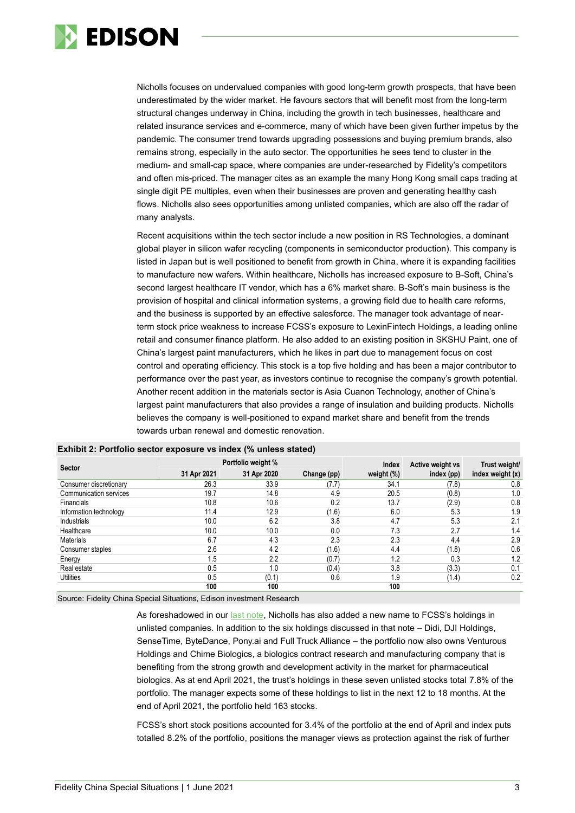

Nicholls focuses on undervalued companies with good long-term growth prospects, that have been underestimated by the wider market. He favours sectors that will benefit most from the long-term structural changes underway in China, including the growth in tech businesses, healthcare and related insurance services and e-commerce, many of which have been given further impetus by the pandemic. The consumer trend towards upgrading possessions and buying premium brands, also remains strong, especially in the auto sector. The opportunities he sees tend to cluster in the medium- and small-cap space, where companies are under-researched by Fidelity's competitors and often mis-priced. The manager cites as an example the many Hong Kong small caps trading at single digit PE multiples, even when their businesses are proven and generating healthy cash flows. Nicholls also sees opportunities among unlisted companies, which are also off the radar of many analysts.

Recent acquisitions within the tech sector include a new position in RS Technologies, a dominant global player in silicon wafer recycling (components in semiconductor production). This company is listed in Japan but is well positioned to benefit from growth in China, where it is expanding facilities to manufacture new wafers. Within healthcare, Nicholls has increased exposure to B-Soft, China's second largest healthcare IT vendor, which has a 6% market share. B-Soft's main business is the provision of hospital and clinical information systems, a growing field due to health care reforms, and the business is supported by an effective salesforce. The manager took advantage of nearterm stock price weakness to increase FCSS's exposure to LexinFintech Holdings, a leading online retail and consumer finance platform. He also added to an existing position in SKSHU Paint, one of China's largest paint manufacturers, which he likes in part due to management focus on cost control and operating efficiency. This stock is a top five holding and has been a major contributor to performance over the past year, as investors continue to recognise the company's growth potential. Another recent addition in the materials sector is Asia Cuanon Technology, another of China's largest paint manufacturers that also provides a range of insulation and building products. Nicholls believes the company is well-positioned to expand market share and benefit from the trends towards urban renewal and domestic renovation.

| <b>Sector</b>          |             | Portfolio weight % |             | Index         | Active weight vs | Trust weight/    |  |
|------------------------|-------------|--------------------|-------------|---------------|------------------|------------------|--|
|                        | 31 Apr 2021 | 31 Apr 2020        | Change (pp) | weight $(\%)$ | index (pp)       | index weight (x) |  |
| Consumer discretionary | 26.3        | 33.9               | (7.7)       | 34.1          | (7.8)            | 0.8              |  |
| Communication services | 19.7        | 14.8               | 4.9         | 20.5          | (0.8)            | 1.0              |  |
| Financials             | 10.8        | 10.6               | 0.2         | 13.7          | (2.9)            | 0.8              |  |
| Information technology | 11.4        | 12.9               | (1.6)       | 6.0           | 5.3              | 1.9              |  |
| Industrials            | 10.0        | 6.2                | 3.8         | 4.7           | 5.3              | 2.1              |  |
| Healthcare             | 10.0        | 10.0               | 0.0         | 7.3           | 2.7              | 1.4              |  |
| <b>Materials</b>       | 6.7         | 4.3                | 2.3         | 2.3           | 4.4              | 2.9              |  |
| Consumer staples       | 2.6         | 4.2                | (1.6)       | 4.4           | (1.8)            | 0.6              |  |
| Energy                 | .5          | 2.2                | (0.7)       | 1.2           | 0.3              | 1.2              |  |
| Real estate            | 0.5         | 1.0                | (0.4)       | 3.8           | (3.3)            | 0.1              |  |
| <b>Utilities</b>       | 0.5         | (0.1)              | 0.6         | 1.9           | (1.4)            | 0.2              |  |
|                        | 100         | 100                |             | 100           |                  |                  |  |

### **Exhibit 2: Portfolio sector exposure vs index (% unless stated)**

Source: Fidelity China Special Situations, Edison investment Research

As foreshadowed in our [last note,](https://www.edisongroup.com/publication/domestic-trends-drive-sustained-outperformance/28464/) Nicholls has also added a new name to FCSS's holdings in unlisted companies. In addition to the six holdings discussed in that note – Didi, DJI Holdings, SenseTime, ByteDance, Pony.ai and Full Truck Alliance – the portfolio now also owns Venturous Holdings and Chime Biologics, a biologics contract research and manufacturing company that is benefiting from the strong growth and development activity in the market for pharmaceutical biologics. As at end April 2021, the trust's holdings in these seven unlisted stocks total 7.8% of the portfolio. The manager expects some of these holdings to list in the next 12 to 18 months. At the end of April 2021, the portfolio held 163 stocks.

FCSS's short stock positions accounted for 3.4% of the portfolio at the end of April and index puts totalled 8.2% of the portfolio, positions the manager views as protection against the risk of further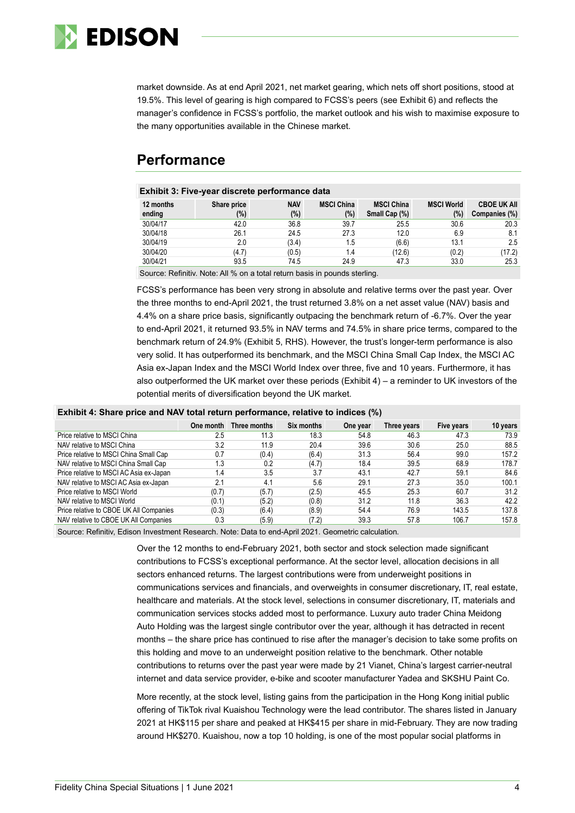

market downside. As at end April 2021, net market gearing, which nets off short positions, stood at 19.5%. This level of gearing is high compared to FCSS's peers (see Exhibit 6) and reflects the manager's confidence in FCSS's portfolio, the market outlook and his wish to maximise exposure to the many opportunities available in the Chinese market.

### **Performance**

### **Exhibit 3: Five-year discrete performance data**

| 12 months | Share price | <b>NAV</b> | <b>MSCI China</b> | <b>MSCI China</b> | <b>MSCI World</b> | <b>CBOE UK AII</b> |
|-----------|-------------|------------|-------------------|-------------------|-------------------|--------------------|
| ending    | (%)         | (%)        | (%)               | Small Cap (%)     | (%)               | Companies (%)      |
| 30/04/17  | 42.0        | 36.8       | 39.7              | 25.5              | 30.6              | 20.3               |
| 30/04/18  | 26.1        | 24.5       | 27.3              | 12.0              | 6.9               | 8.1                |
| 30/04/19  | 2.0         | (3.4)      | 1.5               | (6.6)             | 13.1              | 2.5                |
| 30/04/20  | (4.7)       | (0.5)      | 1.4               | (12.6)            | (0.2)             | (17.2)             |
| 30/04/21  | 93.5        | 74.5       | 24.9              | 47.3              | 33.0              | 25.3               |

Source: Refinitiv. Note: All % on a total return basis in pounds sterling.

FCSS's performance has been very strong in absolute and relative terms over the past year. Over the three months to end-April 2021, the trust returned 3.8% on a net asset value (NAV) basis and 4.4% on a share price basis, significantly outpacing the benchmark return of -6.7%. Over the year to end-April 2021, it returned 93.5% in NAV terms and 74.5% in share price terms, compared to the benchmark return of 24.9% (Exhibit 5, RHS). However, the trust's longer-term performance is also very solid. It has outperformed its benchmark, and the MSCI China Small Cap Index, the MSCI AC Asia ex-Japan Index and the MSCI World Index over three, five and 10 years. Furthermore, it has also outperformed the UK market over these periods (Exhibit 4) – a reminder to UK investors of the potential merits of diversification beyond the UK market.

| Exhibit 4: Share price and NAV total return performance, relative to indices (%) |  |  |  |
|----------------------------------------------------------------------------------|--|--|--|
|----------------------------------------------------------------------------------|--|--|--|

|                                         | One month | Three months | Six months | One year | Three years | Five years | 10 years |
|-----------------------------------------|-----------|--------------|------------|----------|-------------|------------|----------|
| Price relative to MSCI China            | 2.5       | 11.3         | 18.3       | 54.8     | 46.3        | 47.3       | 73.9     |
| NAV relative to MSCI China              | 3.2       | 11.9         | 20.4       | 39.6     | 30.6        | 25.0       | 88.5     |
| Price relative to MSCI China Small Cap  | 0.7       | (0.4)        | (6.4)      | 31.3     | 56.4        | 99.0       | 157.2    |
| NAV relative to MSCI China Small Cap    | 1.3       | 0.2          | (4.7)      | 18.4     | 39.5        | 68.9       | 178.7    |
| Price relative to MSCI AC Asia ex-Japan | 1.4       | 3.5          | 3.7        | 43.1     | 42.7        | 59.1       | 84.6     |
| NAV relative to MSCI AC Asia ex-Japan   | 2.1       | 4.1          | 5.6        | 29.1     | 27.3        | 35.0       | 100.1    |
| Price relative to MSCI World            | (0.7)     | (5.7)        | (2.5)      | 45.5     | 25.3        | 60.7       | 31.2     |
| NAV relative to MSCI World              | (0.1)     | (5.2)        | (0.8)      | 31.2     | 11.8        | 36.3       | 42.2     |
| Price relative to CBOE UK All Companies | (0.3)     | (6.4)        | (8.9)      | 54.4     | 76.9        | 143.5      | 137.8    |
| NAV relative to CBOE UK All Companies   | 0.3       | (5.9)        | (7.2)      | 39.3     | 57.8        | 106.7      | 157.8    |
|                                         |           |              |            |          |             |            |          |

Source: Refinitiv, Edison Investment Research. Note: Data to end-April 2021. Geometric calculation.

Over the 12 months to end-February 2021, both sector and stock selection made significant contributions to FCSS's exceptional performance. At the sector level, allocation decisions in all sectors enhanced returns. The largest contributions were from underweight positions in communications services and financials, and overweights in consumer discretionary, IT, real estate, healthcare and materials. At the stock level, selections in consumer discretionary, IT, materials and communication services stocks added most to performance. Luxury auto trader China Meidong Auto Holding was the largest single contributor over the year, although it has detracted in recent months – the share price has continued to rise after the manager's decision to take some profits on this holding and move to an underweight position relative to the benchmark. Other notable contributions to returns over the past year were made by 21 Vianet, China's largest carrier-neutral internet and data service provider, e-bike and scooter manufacturer Yadea and SKSHU Paint Co.

More recently, at the stock level, listing gains from the participation in the Hong Kong initial public offering of TikTok rival Kuaishou Technology were the lead contributor. The shares listed in January 2021 at HK\$115 per share and peaked at HK\$415 per share in mid-February. They are now trading around HK\$270. Kuaishou, now a top 10 holding, is one of the most popular social platforms in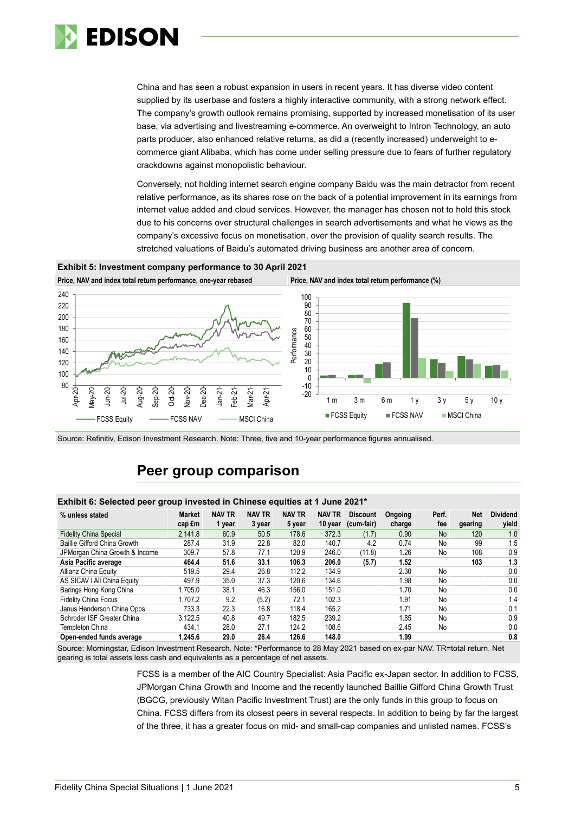

China and has seen a robust expansion in users in recent years. It has diverse video content supplied by its userbase and fosters a highly interactive community, with a strong network effect. The company's growth outlook remains promising, supported by increased monetisation of its user base, via advertising and livestreaming e-commerce. An overweight to Intron Technology, an auto parts producer, also enhanced relative returns, as did a (recently increased) underweight to ecommerce giant Alibaba, which has come under selling pressure due to fears of further regulatory crackdowns against monopolistic behaviour.

Conversely, not holding internet search engine company Baidu was the main detractor from recent relative performance, as its shares rose on the back of a potential improvement in its earnings from internet value added and cloud services. However, the manager has chosen not to hold this stock due to his concerns over structural challenges in search advertisements and what he views as the company's excessive focus on monetisation, over the provision of quality search results. The stretched valuations of Baidu's automated driving business are another area of concern.

### **Exhibit 5: Investment company performance to 30 April 2021**



Source: Refinitiv, Edison Investment Research. Note: Three, five and 10-year performance figures annualised.

### **Peer group comparison**

### **Exhibit 6: Selected peer group invested in Chinese equities at 1 June 2021\***

| % unless stated                | <b>Market</b><br>cap £m | <b>NAV TR</b><br>1 year | <b>NAV TR</b><br>3 year | <b>NAV TR</b><br>5 year | <b>NAV TR</b><br>10 year | <b>Discount</b><br>(cum-fair) | Ongoing<br>charge | Perf.<br>fee | <b>Net</b><br>gearing | <b>Dividend</b><br>yield |
|--------------------------------|-------------------------|-------------------------|-------------------------|-------------------------|--------------------------|-------------------------------|-------------------|--------------|-----------------------|--------------------------|
| <b>Fidelity China Special</b>  | 2,141.8                 | 60.9                    | 50.5                    | 178.6                   | 372.3                    | (1.7)                         | 0.90              | <b>No</b>    | 120                   | 1.0                      |
| Baillie Gifford China Growth   | 287.4                   | 31.9                    | 22.8                    | 82.0                    | 140.7                    | 4.2                           | 0.74              | No           | 99                    | 1.5                      |
| JPMorgan China Growth & Income | 309.7                   | 57.8                    | 77.1                    | 120.9                   | 246.0                    | (11.8)                        | 1.26              | No           | 108                   | 0.9                      |
| Asia Pacific average           | 464.4                   | 51.6                    | 33.1                    | 106.3                   | 206.0                    | (5.7)                         | 1.52              |              | 103                   | 1.3                      |
| Allianz China Equity           | 519.5                   | 29.4                    | 26.8                    | 112.2                   | 134.9                    |                               | 2.30              | No           |                       | 0.0                      |
| AS SICAV I All China Equity    | 497.9                   | 35.0                    | 37.3                    | 120.6                   | 134.6                    |                               | 1.98              | No           |                       | 0.0                      |
| Barings Hong Kong China        | 1.705.0                 | 38.1                    | 46.3                    | 156.0                   | 151.0                    |                               | 1.70              | No           |                       | 0.0                      |
| <b>Fidelity China Focus</b>    | 1.707.2                 | 9.2                     | (5.2)                   | 72.1                    | 102.3                    |                               | 1.91              | No           |                       | 1.4                      |
| Janus Henderson China Opps     | 733.3                   | 22.3                    | 16.8                    | 118.4                   | 165.2                    |                               | 1.71              | No           |                       | 0.1                      |
| Schroder ISF Greater China     | 3.122.5                 | 40.8                    | 49.7                    | 182.5                   | 239.2                    |                               | 1.85              | No           |                       | 0.9                      |
| Templeton China                | 434.1                   | 28.0                    | 27.1                    | 124.2                   | 108.6                    |                               | 2.45              | No           |                       | 0.0                      |
| Open-ended funds average       | 1.245.6                 | 29.0                    | 28.4                    | 126.6                   | 148.0                    |                               | 1.99              |              |                       | 0.8                      |

Source: Morningstar, Edison Investment Research. Note: \*Performance to 28 May 2021 based on ex-par NAV. TR=total return. Net gearing is total assets less cash and equivalents as a percentage of net assets.

> FCSS is a member of the AIC Country Specialist: Asia Pacific ex-Japan sector. In addition to FCSS, JPMorgan China Growth and Income and the recently launched Baillie Gifford China Growth Trust (BGCG, previously Witan Pacific Investment Trust) are the only funds in this group to focus on China. FCSS differs from its closest peers in several respects. In addition to being by far the largest of the three, it has a greater focus on mid- and small-cap companies and unlisted names. FCSS's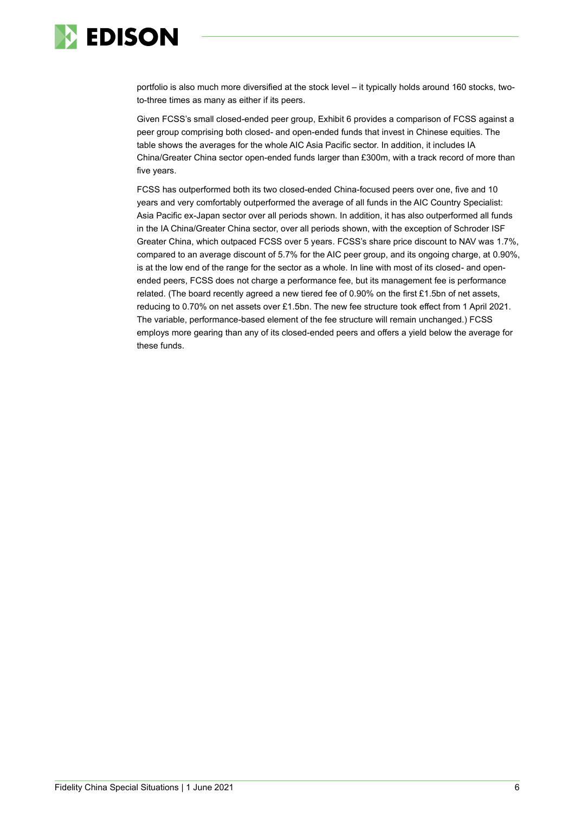

portfolio is also much more diversified at the stock level – it typically holds around 160 stocks, twoto-three times as many as either if its peers.

Given FCSS's small closed-ended peer group, Exhibit 6 provides a comparison of FCSS against a peer group comprising both closed- and open-ended funds that invest in Chinese equities. The table shows the averages for the whole AIC Asia Pacific sector. In addition, it includes IA China/Greater China sector open-ended funds larger than £300m, with a track record of more than five years.

FCSS has outperformed both its two closed-ended China-focused peers over one, five and 10 years and very comfortably outperformed the average of all funds in the AIC Country Specialist: Asia Pacific ex-Japan sector over all periods shown. In addition, it has also outperformed all funds in the IA China/Greater China sector, over all periods shown, with the exception of Schroder ISF Greater China, which outpaced FCSS over 5 years. FCSS's share price discount to NAV was 1.7%, compared to an average discount of 5.7% for the AIC peer group, and its ongoing charge, at 0.90%, is at the low end of the range for the sector as a whole. In line with most of its closed- and openended peers, FCSS does not charge a performance fee, but its management fee is performance related. (The board recently agreed a new tiered fee of 0.90% on the first £1.5bn of net assets, reducing to 0.70% on net assets over £1.5bn. The new fee structure took effect from 1 April 2021. The variable, performance-based element of the fee structure will remain unchanged.) FCSS employs more gearing than any of its closed-ended peers and offers a yield below the average for these funds.